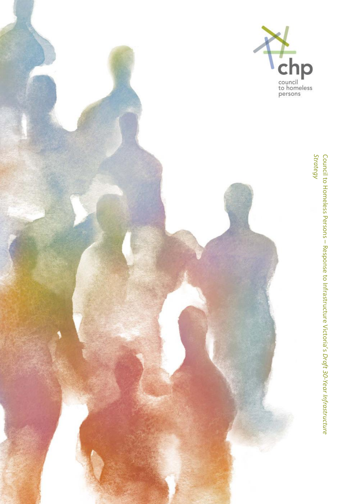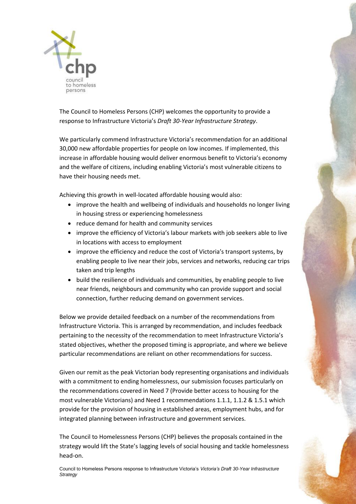

The Council to Homeless Persons (CHP) welcomes the opportunity to provide a response to Infrastructure Victoria's *Draft 30-Year Infrastructure Strategy*.

We particularly commend Infrastructure Victoria's recommendation for an additional 30,000 new affordable properties for people on low incomes. If implemented, this increase in affordable housing would deliver enormous benefit to Victoria's economy and the welfare of citizens, including enabling Victoria's most vulnerable citizens to have their housing needs met.

Achieving this growth in well-located affordable housing would also:

- improve the health and wellbeing of individuals and households no longer living in housing stress or experiencing homelessness
- reduce demand for health and community services
- improve the efficiency of Victoria's labour markets with job seekers able to live in locations with access to employment
- improve the efficiency and reduce the cost of Victoria's transport systems, by enabling people to live near their jobs, services and networks, reducing car trips taken and trip lengths
- build the resilience of individuals and communities, by enabling people to live near friends, neighbours and community who can provide support and social connection, further reducing demand on government services.

Below we provide detailed feedback on a number of the recommendations from Infrastructure Victoria. This is arranged by recommendation, and includes feedback pertaining to the necessity of the recommendation to meet Infrastructure Victoria's stated objectives, whether the proposed timing is appropriate, and where we believe particular recommendations are reliant on other recommendations for success.

Given our remit as the peak Victorian body representing organisations and individuals with a commitment to ending homelessness, our submission focuses particularly on the recommendations covered in Need 7 (Provide better access to housing for the most vulnerable Victorians) and Need 1 recommendations 1.1.1, 1.1.2 & 1.5.1 which provide for the provision of housing in established areas, employment hubs, and for integrated planning between infrastructure and government services.

The Council to Homelessness Persons (CHP) believes the proposals contained in the strategy would lift the State's lagging levels of social housing and tackle homelessness head-on.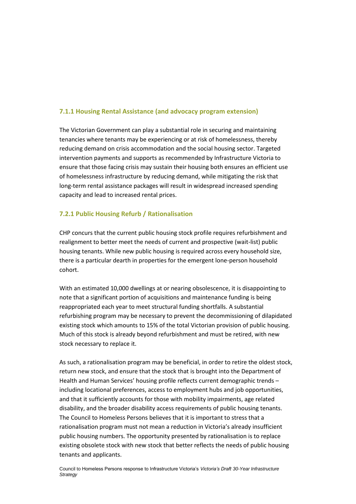### **7.1.1 Housing Rental Assistance (and advocacy program extension)**

The Victorian Government can play a substantial role in securing and maintaining tenancies where tenants may be experiencing or at risk of homelessness, thereby reducing demand on crisis accommodation and the social housing sector. Targeted intervention payments and supports as recommended by Infrastructure Victoria to ensure that those facing crisis may sustain their housing both ensures an efficient use of homelessness infrastructure by reducing demand, while mitigating the risk that long-term rental assistance packages will result in widespread increased spending capacity and lead to increased rental prices.

#### **7.2.1 Public Housing Refurb / Rationalisation**

CHP concurs that the current public housing stock profile requires refurbishment and realignment to better meet the needs of current and prospective (wait-list) public housing tenants. While new public housing is required across every household size, there is a particular dearth in properties for the emergent lone-person household cohort.

With an estimated 10,000 dwellings at or nearing obsolescence, it is disappointing to note that a significant portion of acquisitions and maintenance funding is being reappropriated each year to meet structural funding shortfalls. A substantial refurbishing program may be necessary to prevent the decommissioning of dilapidated existing stock which amounts to 15% of the total Victorian provision of public housing. Much of this stock is already beyond refurbishment and must be retired, with new stock necessary to replace it.

As such, a rationalisation program may be beneficial, in order to retire the oldest stock, return new stock, and ensure that the stock that is brought into the Department of Health and Human Services' housing profile reflects current demographic trends – including locational preferences, access to employment hubs and job opportunities, and that it sufficiently accounts for those with mobility impairments, age related disability, and the broader disability access requirements of public housing tenants. The Council to Homeless Persons believes that it is important to stress that a rationalisation program must not mean a reduction in Victoria's already insufficient public housing numbers. The opportunity presented by rationalisation is to replace existing obsolete stock with new stock that better reflects the needs of public housing tenants and applicants.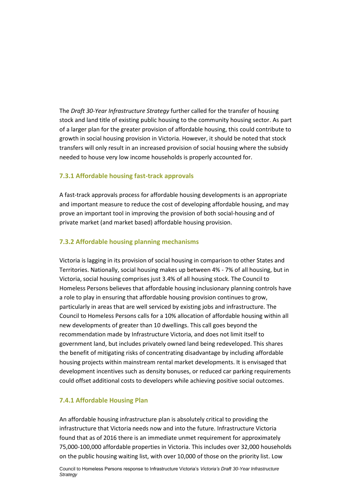The *Draft 30-Year Infrastructure Strategy* further called for the transfer of housing stock and land title of existing public housing to the community housing sector. As part of a larger plan for the greater provision of affordable housing, this could contribute to growth in social housing provision in Victoria. However, it should be noted that stock transfers will only result in an increased provision of social housing where the subsidy needed to house very low income households is properly accounted for.

#### **7.3.1 Affordable housing fast-track approvals**

A fast-track approvals process for affordable housing developments is an appropriate and important measure to reduce the cost of developing affordable housing, and may prove an important tool in improving the provision of both social-housing and of private market (and market based) affordable housing provision.

## **7.3.2 Affordable housing planning mechanisms**

Victoria is lagging in its provision of social housing in comparison to other States and Territories. Nationally, social housing makes up between 4% - 7% of all housing, but in Victoria, social housing comprises just 3.4% of all housing stock. The Council to Homeless Persons believes that affordable housing inclusionary planning controls have a role to play in ensuring that affordable housing provision continues to grow, particularly in areas that are well serviced by existing jobs and infrastructure. The Council to Homeless Persons calls for a 10% allocation of affordable housing within all new developments of greater than 10 dwellings. This call goes beyond the recommendation made by Infrastructure Victoria, and does not limit itself to government land, but includes privately owned land being redeveloped. This shares the benefit of mitigating risks of concentrating disadvantage by including affordable housing projects within mainstream rental market developments. It is envisaged that development incentives such as density bonuses, or reduced car parking requirements could offset additional costs to developers while achieving positive social outcomes.

#### **7.4.1 Affordable Housing Plan**

An affordable housing infrastructure plan is absolutely critical to providing the infrastructure that Victoria needs now and into the future. Infrastructure Victoria found that as of 2016 there is an immediate unmet requirement for approximately 75,000-100,000 affordable properties in Victoria. This includes over 32,000 households on the public housing waiting list, with over 10,000 of those on the priority list. Low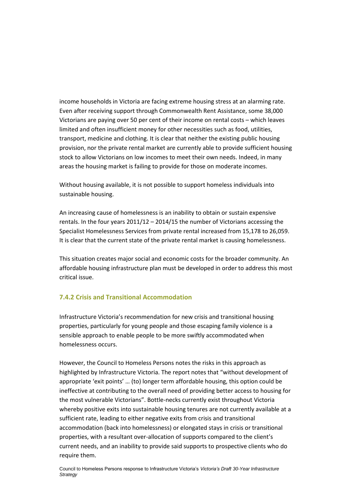income households in Victoria are facing extreme housing stress at an alarming rate. Even after receiving support through Commonwealth Rent Assistance, some 38,000 Victorians are paying over 50 per cent of their income on rental costs – which leaves limited and often insufficient money for other necessities such as food, utilities, transport, medicine and clothing. It is clear that neither the existing public housing provision, nor the private rental market are currently able to provide sufficient housing stock to allow Victorians on low incomes to meet their own needs. Indeed, in many areas the housing market is failing to provide for those on moderate incomes.

Without housing available, it is not possible to support homeless individuals into sustainable housing.

An increasing cause of homelessness is an inability to obtain or sustain expensive rentals. In the four years 2011/12 – 2014/15 the number of Victorians accessing the Specialist Homelessness Services from private rental increased from 15,178 to 26,059. It is clear that the current state of the private rental market is causing homelessness.

This situation creates major social and economic costs for the broader community. An affordable housing infrastructure plan must be developed in order to address this most critical issue.

#### **7.4.2 Crisis and Transitional Accommodation**

Infrastructure Victoria's recommendation for new crisis and transitional housing properties, particularly for young people and those escaping family violence is a sensible approach to enable people to be more swiftly accommodated when homelessness occurs.

However, the Council to Homeless Persons notes the risks in this approach as highlighted by Infrastructure Victoria. The report notes that "without development of appropriate 'exit points' … (to) longer term affordable housing, this option could be ineffective at contributing to the overall need of providing better access to housing for the most vulnerable Victorians". Bottle-necks currently exist throughout Victoria whereby positive exits into sustainable housing tenures are not currently available at a sufficient rate, leading to either negative exits from crisis and transitional accommodation (back into homelessness) or elongated stays in crisis or transitional properties, with a resultant over-allocation of supports compared to the client's current needs, and an inability to provide said supports to prospective clients who do require them.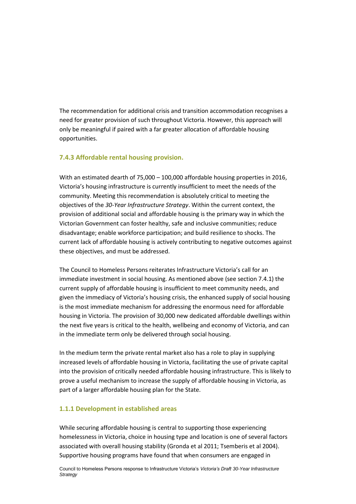The recommendation for additional crisis and transition accommodation recognises a need for greater provision of such throughout Victoria. However, this approach will only be meaningful if paired with a far greater allocation of affordable housing opportunities.

#### **7.4.3 Affordable rental housing provision.**

With an estimated dearth of 75,000 – 100,000 affordable housing properties in 2016, Victoria's housing infrastructure is currently insufficient to meet the needs of the community. Meeting this recommendation is absolutely critical to meeting the objectives of the *30-Year Infrastructure Strategy*. Within the current context, the provision of additional social and affordable housing is the primary way in which the Victorian Government can foster healthy, safe and inclusive communities; reduce disadvantage; enable workforce participation; and build resilience to shocks. The current lack of affordable housing is actively contributing to negative outcomes against these objectives, and must be addressed.

The Council to Homeless Persons reiterates Infrastructure Victoria's call for an immediate investment in social housing. As mentioned above (see section 7.4.1) the current supply of affordable housing is insufficient to meet community needs, and given the immediacy of Victoria's housing crisis, the enhanced supply of social housing is the most immediate mechanism for addressing the enormous need for affordable housing in Victoria. The provision of 30,000 new dedicated affordable dwellings within the next five years is critical to the health, wellbeing and economy of Victoria, and can in the immediate term only be delivered through social housing.

In the medium term the private rental market also has a role to play in supplying increased levels of affordable housing in Victoria, facilitating the use of private capital into the provision of critically needed affordable housing infrastructure. This is likely to prove a useful mechanism to increase the supply of affordable housing in Victoria, as part of a larger affordable housing plan for the State.

# **1.1.1 Development in established areas**

While securing affordable housing is central to supporting those experiencing homelessness in Victoria, choice in housing type and location is one of several factors associated with overall housing stability (Gronda et al 2011; Tsemberis et al 2004). Supportive housing programs have found that when consumers are engaged in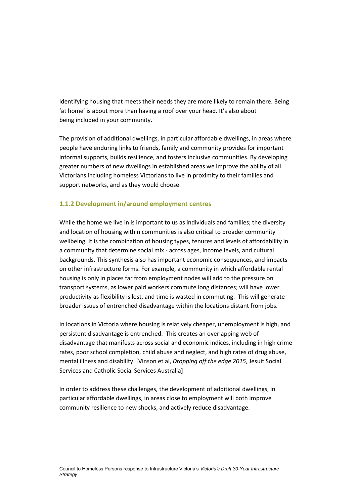identifying housing that meets their needs they are more likely to remain there. Being 'at home' is about more than having a roof over your head. It's also about being included in your community.

The provision of additional dwellings, in particular affordable dwellings, in areas where people have enduring links to friends, family and community provides for important informal supports, builds resilience, and fosters inclusive communities. By developing greater numbers of new dwellings in established areas we improve the ability of all Victorians including homeless Victorians to live in proximity to their families and support networks, and as they would choose.

## **1.1.2 Development in/around employment centres**

While the home we live in is important to us as individuals and families; the diversity and location of housing within communities is also critical to broader community wellbeing. It is the combination of housing types, tenures and levels of affordability in a community that determine social mix - across ages, income levels, and cultural backgrounds. This synthesis also has important economic consequences, and impacts on other infrastructure forms. For example, a community in which affordable rental housing is only in places far from employment nodes will add to the pressure on transport systems, as lower paid workers commute long distances; will have lower productivity as flexibility is lost, and time is wasted in commuting. This will generate broader issues of entrenched disadvantage within the locations distant from jobs.

In locations in Victoria where housing is relatively cheaper, unemployment is high, and persistent disadvantage is entrenched. This creates an overlapping web of disadvantage that manifests across social and economic indices, including in high crime rates, poor school completion, child abuse and neglect, and high rates of drug abuse, mental illness and disability. [Vinson et al, *Dropping off the edge 2015*, Jesuit Social Services and Catholic Social Services Australia]

In order to address these challenges, the development of additional dwellings, in particular affordable dwellings, in areas close to employment will both improve community resilience to new shocks, and actively reduce disadvantage.